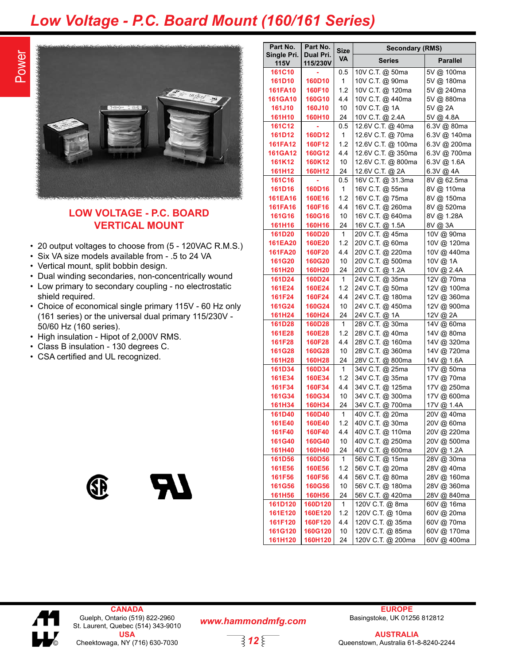## *Low Voltage - P.C. Board Mount (160/161 Series)*

**Part No.**



## **LOW VOLTAGE - P.C. BOARD VERTICAL MOUNT**

- 20 output voltages to choose from (5 120VAC R.M.S.)
- Six VA size models available from .5 to 24 VA
- Vertical mount, split bobbin design.
- Dual winding secondaries, non-concentrically wound
- Low primary to secondary coupling no electrostatic shield required.
- Choice of economical single primary 115V 60 Hz only (161 series) or the universal dual primary 115/230V - 50/60 Hz (160 series).
- High insulation Hipot of 2,000V RMS.
- Class B insulation 130 degrees C.
- CSA certified and UL recognized.





| Part No.                   | Part No.              | <b>Size</b>  | <b>Secondary (RMS)</b> |                 |  |  |  |
|----------------------------|-----------------------|--------------|------------------------|-----------------|--|--|--|
| Single Pri.<br><b>115V</b> | Dual Pri.<br>115/230V | VA           | <b>Series</b>          | <b>Parallel</b> |  |  |  |
| 161C10                     |                       | 0.5          | 10V C.T. @ 50ma        | 5V @ 100ma      |  |  |  |
| 161D10                     | 160D10                | 1            | 10V C.T. @ 90ma        | 5V @ 180ma      |  |  |  |
| 161FA10                    | 160F10                | 1.2          | 10V C.T. @ 120ma       | 5V @ 240ma      |  |  |  |
| <b>161GA10</b>             | 160G10                | 4.4          | 10V C.T. @ 440ma       | 5V @ 880ma      |  |  |  |
| <b>161J10</b>              | <b>160J10</b>         | 10           | 10V C.T. @ 1A          | 5V @ 2A         |  |  |  |
| 161H10                     | 160H10                | 24           | 10V C.T. @ 2.4A        | 5V @ 4.8A       |  |  |  |
| 161C12                     | ä,                    | 0.5          | 12.6V C.T. @ 40ma      | 6.3V @ 80ma     |  |  |  |
| 161D12                     | 160D12                | 1            | 12.6V C.T. @ 70ma      | 6.3V @ 140ma    |  |  |  |
| 161FA12                    | 160F12                | 1.2          | 12.6V C.T. @ 100ma     | 6.3V @ 200ma    |  |  |  |
| <b>161GA12</b>             | 160G12                | 4.4          | 12.6V C.T. @ 350ma     | 6.3V @ 700ma    |  |  |  |
| 161K12                     | 160K12                | 10           | 12.6V C.T. @ 800ma     | 6.3V @ 1.6A     |  |  |  |
| <b>161H12</b>              | <b>160H12</b>         | 24           | 12.6V C.T. @ 2A        | 6.3V @ 4A       |  |  |  |
| <b>161C16</b>              |                       | 0.5          | 16V C.T. @ 31.3ma      | 8V @ 62.5ma     |  |  |  |
| 161D16                     | 160D16                | 1            | 16V C.T. @ 55ma        | 8V @ 110ma      |  |  |  |
| <b>161EA16</b>             | 160E16                | 1.2          | 16V C.T. @ 75ma        | 8V @ 150ma      |  |  |  |
| 161FA16                    | 160F16                | 4.4          | 16V C.T. @ 260ma       | 8V @ 520ma      |  |  |  |
| <b>161G16</b>              | 160G16                | 10           | 16V C.T. @ 640ma       | 8V @ 1.28A      |  |  |  |
| 161H16                     | 160H16                | 24           | 16V C.T. @ 1.5A        | 8V @ 3A         |  |  |  |
| 161D20                     | 160D20                | $\mathbf{1}$ | 20V C.T. @ 45ma        | 10V @ 90ma      |  |  |  |
| 161EA20                    | 160E20                | 1.2          | 20V C.T. @ 60ma        | 10V @ 120ma     |  |  |  |
| <b>161FA20</b>             | 160F20                | 4.4          | 20V C.T. @ 220ma       | 10V @ 440ma     |  |  |  |
| 161G20                     | <b>160G20</b>         | 10           | 20V C.T. @ 500ma       | 10V @ 1A        |  |  |  |
| 161H20                     | <b>160H20</b>         | 24           | 20V C.T. @ 1.2A        | 10V @ 2.4A      |  |  |  |
| 161D24                     | 160D24                | $\mathbf{1}$ | 24V C.T. @ 35ma        | 12V @ 70ma      |  |  |  |
| 161E24                     | 160E24                | 1.2          | 24V C.T. @ 50ma        | 12V @ 100ma     |  |  |  |
| 161F24                     | 160F24                | 4.4          | 24V C.T. @ 180ma       | 12V @ 360ma     |  |  |  |
| 161G24                     | 160G24                | 10           | 24V C.T. @ 450ma       | 12V @ 900ma     |  |  |  |
| 161H24                     | <b>160H24</b>         | 24           | 24V C.T. @ 1A          | 12V @ 2A        |  |  |  |
| 161D28                     | 160D28                | 1            | 28V C.T. @ 30ma        | 14V @ 60ma      |  |  |  |
| 161E28                     | 160E28                | 1.2          | 28V C.T. @ 40ma        | 14V @ 80ma      |  |  |  |
| 161F28                     | 160F28                | 4.4          | 28V C.T. @ 160ma       | 14V @ 320ma     |  |  |  |
| 161G28                     | 160G28                | 10           | 28V C.T. @ 360ma       | 14V @ 720ma     |  |  |  |
| 161H28                     | <b>160H28</b>         | 24           | 28V C.T. @ 800ma       | 14V @ 1.6A      |  |  |  |
| 161D34                     | 160D34                | 1            | 34V C.T. @ 25ma        | 17V @ 50ma      |  |  |  |
| 161E34                     | 160E34                | 1.2          | 34V C.T. @ 35ma        | 17V @ 70ma      |  |  |  |
| 161F34                     | 160F34                | 4.4          | 34V C.T. @ 125ma       | 17V @ 250ma     |  |  |  |
| 161G34                     | 160G34                | 10           | 34V C.T. @ 300ma       | 17V @ 600ma     |  |  |  |
| 161H34                     | 160H34                | 24           | 34V C.T. @ 700ma       | 17V @ 1.4A      |  |  |  |
| 161D40                     | 160D40                | 1            | 40V C.T. @ 20ma        | 20V @ 40ma      |  |  |  |
| 161E40                     | 160E40                | 1.2          | 40V C.T. @ 30ma        | 20V @ 60ma      |  |  |  |
| <b>161F40</b>              | <b>160F40</b>         | 4.4          | 40V C.T. @ 110ma       | 20V @ 220ma     |  |  |  |
| 161G40                     | 160G40                | 10           | 40V C.T. @ 250ma       | 20V @ 500ma     |  |  |  |
| 161H40                     | <b>160H40</b>         | 24           | 40V C.T. @ 600ma       | 20V @ 1.2A      |  |  |  |
| 161D56                     | 160D56                | 1            | 56V C.T. @ 15ma        | 28V @ 30ma      |  |  |  |
| 161E56                     | 160E56                | 1.2          | 56V C.T. @ 20ma        | 28V @ 40ma      |  |  |  |
| 161F56                     | 160F56                | 4.4          | 56V C.T. @ 80ma        | 28V @ 160ma     |  |  |  |
| 161G56                     | <b>160G56</b>         | 10           | 56V C.T. @ 180ma       | 28V @ 360ma     |  |  |  |
| <b>161H56</b>              | <b>160H56</b>         | 24           | 56V C.T. @ 420ma       | 28V @ 840ma     |  |  |  |
| 161D120                    | 160D120               | 1            | 120V C.T. @ 8ma        | 60V @ 16ma      |  |  |  |
| 161E120                    | 160E120               | 1.2          | 120V C.T. @ 10ma       | 60V @ 20ma      |  |  |  |
| 161F120                    | 160F120               | 4.4          | 120V C.T. @ 35ma       | 60V @ 70ma      |  |  |  |
| 161G120                    | <b>160G120</b>        | 10           | 120V C.T. @ 85ma       | 60V @ 170ma     |  |  |  |
| 161H120                    | 160H120               | 24           | 120V C.T. @ 200ma      | 60V @ 400ma     |  |  |  |



**CANADA** Guelph, Ontario (519) 822-2960 St. Laurent, Quebec (514) 343-9010 **USA** © Cheektowaga, NY (716) 630-7030

*www.hammondmfg.com*

*12*

**EUROPE** Basingstoke, UK 01256 812812

**AUSTRALIA** Queenstown, Australia 61-8-8240-2244